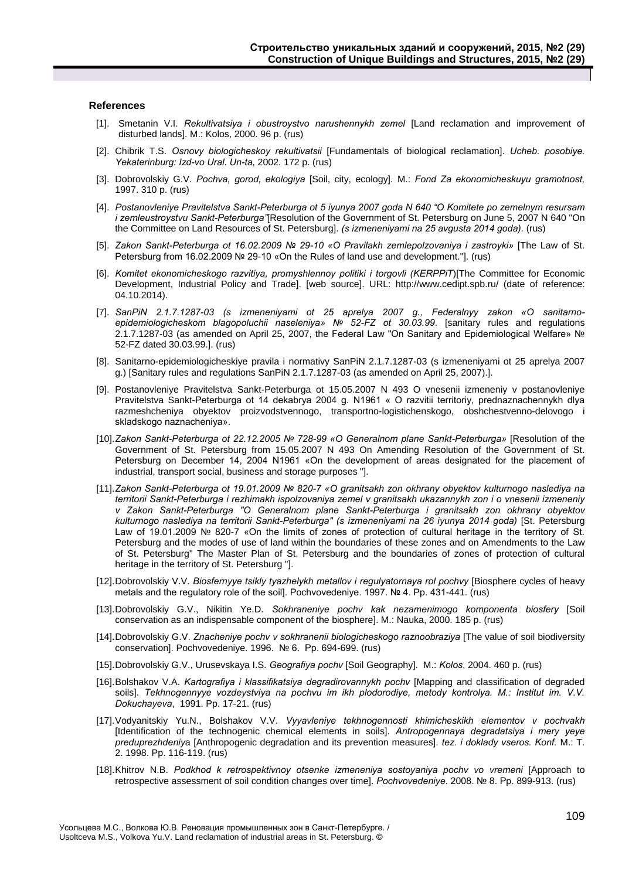## **References**

- [1]. Smetanin V.I. *Rekultivatsiya i obustroystvo narushennykh zemel* [Land reclamation and improvement of disturbed lands]. M.: Kolos, 2000. 96 p. (rus)
- [2]. Chibrik T.S. *Osnovy biologicheskoy rekultivatsii* [Fundamentals of biological reclamation]. *Ucheb. posobiye. Yekaterinburg: Izd-vo Ural*. *Un-ta*, 2002. 172 p. (rus)
- [3]. Dobrovolskiy G.V. *Pochva, gorod, ekologiya* [Soil, city, ecology]. M.: *Fond Za ekonomicheskuyu gramotnost,* 1997. 310 p. (rus)
- [4]. *Postanovleniye Pravitelstva Sankt-Peterburga ot 5 iyunya 2007 goda N 640 "O Komitete po zemelnym resursam i zemleustroystvu Sankt-Peterburga"*[Resolution of the Government of St. Petersburg on June 5, 2007 N 640 "On the Committee on Land Resources of St. Petersburg]. *(s izmeneniyami na 25 avgusta 2014 goda).* (rus)
- [5]. *Zakon Sankt-Peterburga ot 16.02.2009 № 29-10 «O Pravilakh zemlepolzovaniya i zastroyki»* [The Law of St. Petersburg from 16.02.2009 № 29-10 «On the Rules of land use and development."]. (rus)
- [6]. *Komitet ekonomicheskogo razvitiya, promyshlennoy politiki i torgovli (KERPPiT*)[The Committee for Economic Development, Industrial Policy and Trade]. [web source]. URL: http://www.cedipt.spb.ru/ (date of reference: 04.10.2014).
- [7]. *SanPiN 2.1.7.1287-03 (s izmeneniyami ot 25 aprelya 2007 g., Federalnyy zakon «O sanitarnoepidemiologicheskom blagopoluchii naseleniya» № 52-FZ ot 30.03.99*. [sanitary rules and regulations 2.1.7.1287-03 (as amended on April 25, 2007, the Federal Law "On Sanitary and Epidemiological Welfare» № 52-FZ dated 30.03.99.]. (rus)
- [8]. Sanitarno-epidemiologicheskiye pravila i normativy SanPiN 2.1.7.1287-03 (s izmeneniyami ot 25 aprelya 2007 g.) [Sanitary rules and regulations SanPiN 2.1.7.1287-03 (as amended on April 25, 2007).].
- [9]. Postanovleniye Pravitelstva Sankt-Peterburga ot 15.05.2007 N 493 O vnesenii izmeneniy v postanovleniye Pravitelstva Sankt-Peterburga ot 14 dekabrya 2004 g. N1961 « O razvitii territoriy, prednaznachennykh dlya razmeshcheniya obyektov proizvodstvennogo, transportno-logistichenskogo, obshchestvenno-delovogo i skladskogo naznacheniya».
- [10].*Zakon Sankt-Peterburga ot 22.12.2005 № 728-99 «O Generalnom plane Sankt-Peterburga»* [Resolution of the Government of St. Petersburg from 15.05.2007 N 493 On Amending Resolution of the Government of St. Petersburg on December 14, 2004 N1961 «On the development of areas designated for the placement of industrial, transport social, business and storage purposes "].
- [11].*Zakon Sankt-Peterburga ot 19.01.2009 № 820-7 «O granitsakh zon okhrany obyektov kulturnogo naslediya na territorii Sankt-Peterburga i rezhimakh ispolzovaniya zemel v granitsakh ukazannykh zon i o vnesenii izmeneniy v Zakon Sankt-Peterburga "O Generalnom plane Sankt-Peterburga i granitsakh zon okhrany obyektov kulturnogo naslediya na territorii Sankt-Peterburga" (s izmeneniyami na 26 iyunya 2014 goda)* [St. Petersburg Law of 19.01.2009 № 820-7 «On the limits of zones of protection of cultural heritage in the territory of St. Petersburg and the modes of use of land within the boundaries of these zones and on Amendments to the Law of St. Petersburg" The Master Plan of St. Petersburg and the boundaries of zones of protection of cultural heritage in the territory of St. Petersburg "].
- [12].Dobrovolskiy V.V. *Biosfernyye tsikly tyazhelykh metallov i regulyatornaya rol pochvy* [Biosphere cycles of heavy metals and the regulatory role of the soil]. Pochvovedeniye. 1997. № 4. Pp. 431-441. (rus)
- [13].Dobrovolskiy G.V., Nikitin Ye.D. *Sokhraneniye pochv kak nezamenimogo komponenta biosfery* [Soil conservation as an indispensable component of the biosphere]. M.: Nauka, 2000. 185 p. (rus)
- [14].Dobrovolskiy G.V. *Znacheniye pochv v sokhranenii biologicheskogo raznoobraziya* [The value of soil biodiversity conservation]. Pochvovedeniye. 1996. № 6. Pp. 694-699. (rus)
- [15].Dobrovolskiy G.V., Urusevskaya I.S. *Geografiya pochv* [Soil Geography]. M.: *Kolos*, 2004. 460 p. (rus)
- [16].Bolshakov V.A. *Kartografiya i klassifikatsiya degradirovannykh pochv* [Mapping and classification of degraded soils]. *Tekhnogennyye vozdeystviya na pochvu im ikh plodorodiye, metody kontrolya. M.: Institut im. V.V. Dokuchayeva*, 1991. Pp. 17-21. (rus)
- [17].Vodyanitskiy Yu.N., Bolshakov V.V. *Vyyavleniye tekhnogennosti khimicheskikh elementov v pochvakh*  [Identification of the technogenic chemical elements in soils]. *Antropogennaya degradatsiya i mery yeye preduprezhdeniy*a [Anthropogenic degradation and its prevention measures]. *tez. i doklady vseros. Konf.* M.: T. 2. 1998. Pp. 116-119. (rus)
- [18].Khitrov N.B. *Podkhod k retrospektivnoy otsenke izmeneniya sostoyaniya pochv vo vremeni* [Approach to retrospective assessment of soil condition changes over time]. *Pochvovedeniye*. 2008. № 8. Pp. 899-913. (rus)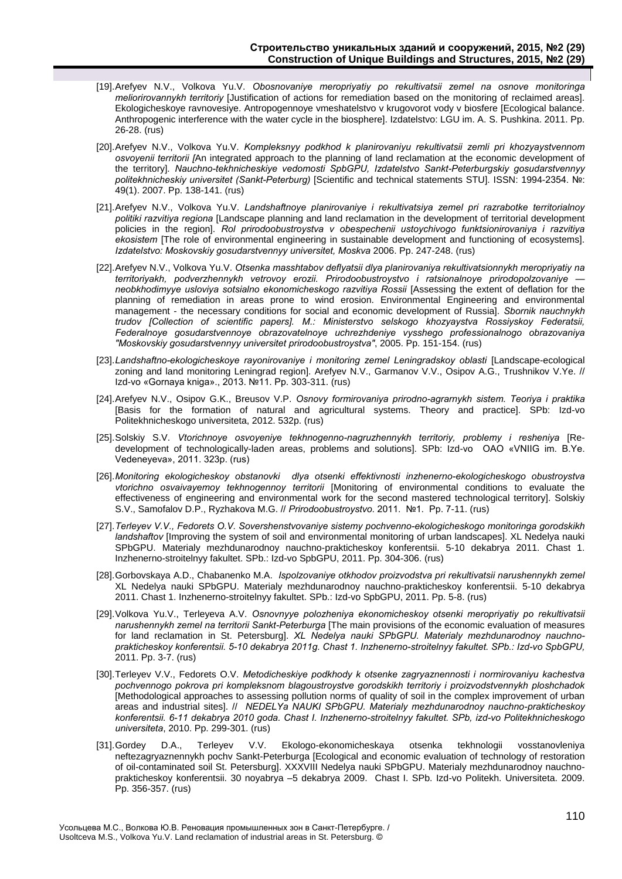- [19].Arefyev N.V., Volkova Yu.V. *Obosnovaniye meropriyatiy po rekultivatsii zemel na osnove monitoringa meliorirovannykh territoriy* [Justification of actions for remediation based on the monitoring of reclaimed areas]. Ekologicheskoye ravnovesiye. Antropogennoye vmeshatelstvo v krugovorot vody v biosfere [Ecological balance. Anthropogenic interference with the water cycle in the biosphere]. Izdatelstvo: LGU im. A. S. Pushkina. 2011. Pp. 26-28. (rus)
- [20].Arefyev N.V., Volkova Yu.V. *Kompleksnyy podkhod k planirovaniyu rekultivatsii zemli pri khozyaystvennom osvoyenii territorii [*An integrated approach to the planning of land reclamation at the economic development of the territory]*. Nauchno-tekhnicheskiye vedomosti SpbGPU, Izdatelstvo Sankt-Peterburgskiy gosudarstvennyy politekhnicheskiy universitet (Sankt-Peterburg)* [Scientific and technical statements STU]. ISSN: 1994-2354. №: 49(1). 2007. Pp. 138-141. (rus)
- [21].Arefyev N.V., Volkova Yu.V. *Landshaftnoye planirovaniye i rekultivatsiya zemel pri razrabotke territorialnoy politiki razvitiya regiona* [Landscape planning and land reclamation in the development of territorial development policies in the region]. *Rol prirodoobustroystva v obespechenii ustoychivogo funktsionirovaniya i razvitiya ekosistem* [The role of environmental engineering in sustainable development and functioning of ecosystems]. *Izdatelstvo: Moskovskiy gosudarstvennyy universitet, Moskva* 2006. Pp. 247-248. (rus)
- [22].Arefyev N.V., Volkova Yu.V. *Otsenka masshtabov deflyatsii dlya planirovaniya rekultivatsionnykh meropriyatiy na territoriyakh, podverzhennykh vetrovoy erozii. Prirodoobustroystvo i ratsionalnoye prirodopolzovaniye neobkhodimyye usloviya sotsialno ekonomicheskogo razvitiya Rossii* [Assessing the extent of deflation for the planning of remediation in areas prone to wind erosion. Environmental Engineering and environmental management - the necessary conditions for social and economic development of Russia]. *Sbornik nauchnykh trudov [Collection of scientific papers]. M.: Ministerstvo selskogo khozyaystva Rossiyskoy Federatsii, Federalnoye gosudarstvennoye obrazovatelnoye uchrezhdeniye vysshego professionalnogo obrazovaniya "Moskovskiy gosudarstvennyy universitet prirodoobustroystva"*, 2005. Pp. 151-154. (rus)
- [23].*Landshaftno-ekologicheskoye rayonirovaniye i monitoring zemel Leningradskoy oblasti* [Landscape-ecological zoning and land monitoring Leningrad region]. Arefyev N.V., Garmanov V.V., Osipov A.G., Trushnikov V.Ye. // Izd-vo «Gornaya kniga»., 2013. №11. Pp. 303-311. (rus)
- [24].Arefyev N.V., Osipov G.K., Breusov V.P. *Osnovy formirovaniya prirodno-agrarnykh sistem. Teoriya i praktika* [Basis for the formation of natural and agricultural systems. Theory and practice]. SPb: Izd-vo Politekhnicheskogo universiteta, 2012. 532p. (rus)
- [25].Solskiy S.V. *Vtorichnoye osvoyeniye tekhnogenno-nagruzhennykh territoriy, problemy i resheniya* [Redevelopment of technologically-laden areas, problems and solutions]. SPb: Izd-vo OAO «VNIIG im. B.Ye. Vedeneyeva», 2011. 323p. (rus)
- [26].*Monitoring ekologicheskoy obstanovki dlya otsenki effektivnosti inzhenerno-ekologicheskogo obustroystva vtorichno osvaivayemoy tekhnogennoy territorii* [Monitoring of environmental conditions to evaluate the effectiveness of engineering and environmental work for the second mastered technological territory]. Solskiy S.V., Samofalov D.P., Ryzhakova M.G. // *Prirodoobustroystvo*. 2011. №1. Pp. 7-11. (rus)
- [27].*Terleyev V.V., Fedorets O.V. Sovershenstvovaniye sistemy pochvenno-ekologicheskogo monitoringa gorodskikh landshaftov* [Improving the system of soil and environmental monitoring of urban landscapes]. XL Nedelya nauki SPbGPU. Materialy mezhdunarodnoy nauchno-prakticheskoy konferentsii. 5-10 dekabrya 2011. Chast 1. Inzhenerno-stroitelnyy fakultet. SPb.: Izd-vo SpbGPU, 2011. Pp. 304-306. (rus)
- [28].Gorbovskaya A.D., Chabanenko M.A. *Ispolzovaniye otkhodov proizvodstva pri rekultivatsii narushennykh zemel* XL Nedelya nauki SPbGPU. Materialy mezhdunarodnoy nauchno-prakticheskoy konferentsii. 5-10 dekabrya 2011. Chast 1. Inzhenerno-stroitelnyy fakultet. SPb.: Izd-vo SpbGPU, 2011. Pp. 5-8. (rus)
- [29].Volkova Yu.V., Terleyeva A.V. *Osnovnyye polozheniya ekonomicheskoy otsenki meropriyatiy po rekultivatsii narushennykh zemel na territorii Sankt-Peterburga* [The main provisions of the economic evaluation of measures for land reclamation in St. Petersburg]. *XL Nedelya nauki SPbGPU. Materialy mezhdunarodnoy nauchnoprakticheskoy konferentsii. 5-10 dekabrya 2011g. Chast 1. Inzhenerno-stroitelnyy fakultet. SPb.: Izd-vo SpbGPU,* 2011. Pp. 3-7. (rus)
- [30].Terleyev V.V., Fedorets O.V. *Metodicheskiye podkhody k otsenke zagryaznennosti i normirovaniyu kachestva pochvennogo pokrova pri kompleksnom blagoustroystve gorodskikh territoriy i proizvodstvennykh ploshchadok* [Methodological approaches to assessing pollution norms of quality of soil in the complex improvement of urban areas and industrial sites]. // *NEDELYa NAUKI SPbGPU. Materialy mezhdunarodnoy nauchno-prakticheskoy konferentsii. 6-11 dekabrya 2010 goda. Chast I. Inzhenerno-stroitelnyy fakultet. SPb, izd-vo Politekhnicheskogo universiteta*, 2010. Pp. 299-301. (rus)
- [31].Gordey D.A., Terleyev V.V. Ekologo-ekonomicheskaya otsenka tekhnologii vosstanovleniya neftezagryaznennykh pochv Sankt-Peterburga [Ecological and economic evaluation of technology of restoration of oil-contaminated soil St. Petersburg]. XXXVIII Nedelya nauki SPbGPU. Materialy mezhdunarodnoy nauchnoprakticheskoy konferentsii. 30 noyabrya –5 dekabrya 2009. Chast I. SPb. Izd-vo Politekh. Universiteta. 2009. Pp. 356-357. (rus)